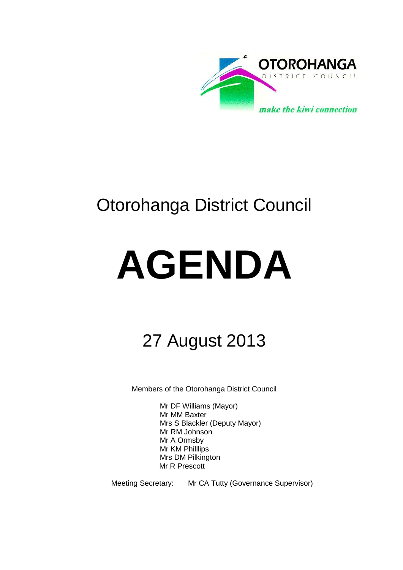

# Otorohanga District Council

# **AGENDA**

# 27 August 2013

Members of the Otorohanga District Council

Mr DF Williams (Mayor) Mr MM Baxter Mrs S Blackler (Deputy Mayor) Mr RM Johnson Mr A Ormsby Mr KM Philllips Mrs DM Pilkington Mr R Prescott

Meeting Secretary: Mr CA Tutty (Governance Supervisor)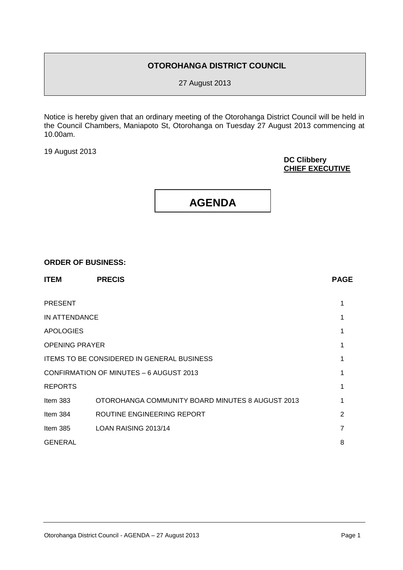# **OTOROHANGA DISTRICT COUNCIL**

27 August 2013

Notice is hereby given that an ordinary meeting of the Otorohanga District Council will be held in the Council Chambers, Maniapoto St, Otorohanga on Tuesday 27 August 2013 commencing at 10.00am.

19 August 2013

## **DC Clibbery CHIEF EXECUTIVE**



#### **ORDER OF BUSINESS:**

| <b>ITEM</b>                                       | <b>PRECIS</b>                                    | <b>PAGE</b>    |
|---------------------------------------------------|--------------------------------------------------|----------------|
| <b>PRESENT</b>                                    |                                                  |                |
| IN ATTENDANCE                                     |                                                  |                |
| <b>APOLOGIES</b>                                  |                                                  |                |
| <b>OPENING PRAYER</b>                             |                                                  |                |
| <b>ITEMS TO BE CONSIDERED IN GENERAL BUSINESS</b> |                                                  |                |
| CONFIRMATION OF MINUTES - 6 AUGUST 2013           |                                                  |                |
| <b>REPORTS</b>                                    |                                                  |                |
| Item $383$                                        | OTOROHANGA COMMUNITY BOARD MINUTES 8 AUGUST 2013 |                |
| Item 384                                          | ROUTINE ENGINEERING REPORT                       | $\overline{2}$ |
| Item $385$                                        | LOAN RAISING 2013/14                             | 7              |
| <b>GENERAL</b>                                    |                                                  | 8              |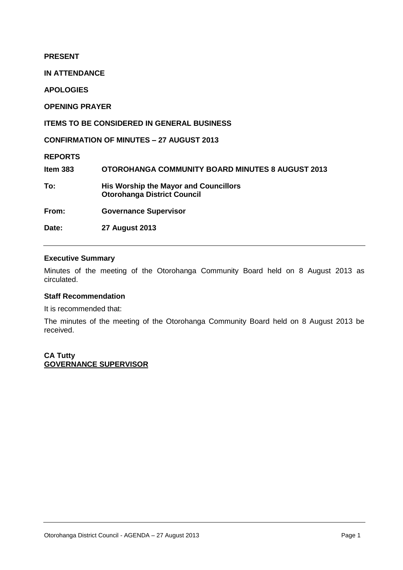**PRESENT**

**IN ATTENDANCE**

**APOLOGIES**

**OPENING PRAYER**

**ITEMS TO BE CONSIDERED IN GENERAL BUSINESS**

**CONFIRMATION OF MINUTES – 27 AUGUST 2013**

**REPORTS**

**Item 383 OTOROHANGA COMMUNITY BOARD MINUTES 8 AUGUST 2013 To: His Worship the Mayor and Councillors Otorohanga District Council From: Governance Supervisor Date: 27 August 2013** 

# **Executive Summary**

Minutes of the meeting of the Otorohanga Community Board held on 8 August 2013 as circulated.

# **Staff Recommendation**

It is recommended that:

The minutes of the meeting of the Otorohanga Community Board held on 8 August 2013 be received.

**CA Tutty GOVERNANCE SUPERVISOR**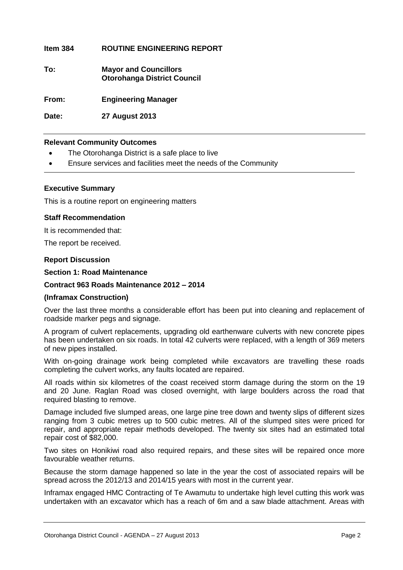# **Item 384 ROUTINE ENGINEERING REPORT**

**To: Mayor and Councillors Otorohanga District Council**

**From: Engineering Manager**

**Date: 27 August 2013**

# **Relevant Community Outcomes**

- The Otorohanga District is a safe place to live
- Ensure services and facilities meet the needs of the Community

#### **Executive Summary**

This is a routine report on engineering matters

#### **Staff Recommendation**

It is recommended that:

The report be received.

## **Report Discussion**

#### **Section 1: Road Maintenance**

## **Contract 963 Roads Maintenance 2012 – 2014**

#### **(Inframax Construction)**

Over the last three months a considerable effort has been put into cleaning and replacement of roadside marker pegs and signage.

A program of culvert replacements, upgrading old earthenware culverts with new concrete pipes has been undertaken on six roads. In total 42 culverts were replaced, with a length of 369 meters of new pipes installed.

With on-going drainage work being completed while excavators are travelling these roads completing the culvert works, any faults located are repaired.

All roads within six kilometres of the coast received storm damage during the storm on the 19 and 20 June. Raglan Road was closed overnight, with large boulders across the road that required blasting to remove.

Damage included five slumped areas, one large pine tree down and twenty slips of different sizes ranging from 3 cubic metres up to 500 cubic metres. All of the slumped sites were priced for repair, and appropriate repair methods developed. The twenty six sites had an estimated total repair cost of \$82,000.

Two sites on Honikiwi road also required repairs, and these sites will be repaired once more favourable weather returns.

Because the storm damage happened so late in the year the cost of associated repairs will be spread across the 2012/13 and 2014/15 years with most in the current year.

Inframax engaged HMC Contracting of Te Awamutu to undertake high level cutting this work was undertaken with an excavator which has a reach of 6m and a saw blade attachment. Areas with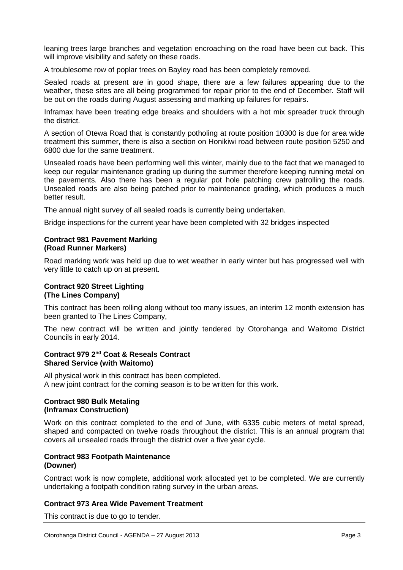leaning trees large branches and vegetation encroaching on the road have been cut back. This will improve visibility and safety on these roads.

A troublesome row of poplar trees on Bayley road has been completely removed.

Sealed roads at present are in good shape, there are a few failures appearing due to the weather, these sites are all being programmed for repair prior to the end of December. Staff will be out on the roads during August assessing and marking up failures for repairs.

Inframax have been treating edge breaks and shoulders with a hot mix spreader truck through the district.

A section of Otewa Road that is constantly potholing at route position 10300 is due for area wide treatment this summer, there is also a section on Honikiwi road between route position 5250 and 6800 due for the same treatment.

Unsealed roads have been performing well this winter, mainly due to the fact that we managed to keep our regular maintenance grading up during the summer therefore keeping running metal on the pavements. Also there has been a regular pot hole patching crew patrolling the roads. Unsealed roads are also being patched prior to maintenance grading, which produces a much better result.

The annual night survey of all sealed roads is currently being undertaken.

Bridge inspections for the current year have been completed with 32 bridges inspected

# **Contract 981 Pavement Marking (Road Runner Markers)**

Road marking work was held up due to wet weather in early winter but has progressed well with very little to catch up on at present.

# **Contract 920 Street Lighting (The Lines Company)**

This contract has been rolling along without too many issues, an interim 12 month extension has been granted to The Lines Company,

The new contract will be written and jointly tendered by Otorohanga and Waitomo District Councils in early 2014.

# **Contract 979 2nd Coat & Reseals Contract Shared Service (with Waitomo)**

All physical work in this contract has been completed. A new joint contract for the coming season is to be written for this work.

# **Contract 980 Bulk Metaling (Inframax Construction)**

Work on this contract completed to the end of June, with 6335 cubic meters of metal spread, shaped and compacted on twelve roads throughout the district. This is an annual program that covers all unsealed roads through the district over a five year cycle.

# **Contract 983 Footpath Maintenance (Downer)**

Contract work is now complete, additional work allocated yet to be completed. We are currently undertaking a footpath condition rating survey in the urban areas.

# **Contract 973 Area Wide Pavement Treatment**

This contract is due to go to tender.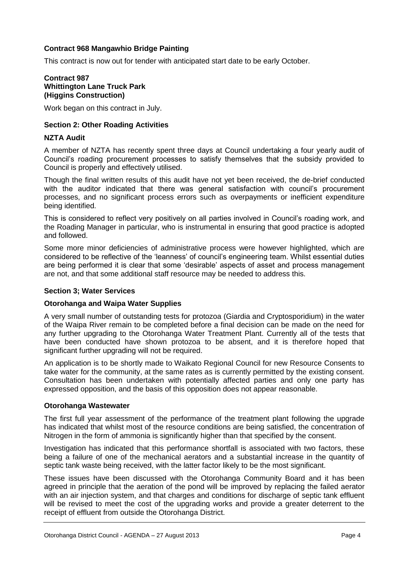# **Contract 968 Mangawhio Bridge Painting**

This contract is now out for tender with anticipated start date to be early October.

# **Contract 987 Whittington Lane Truck Park (Higgins Construction)**

Work began on this contract in July.

# **Section 2: Other Roading Activities**

# **NZTA Audit**

A member of NZTA has recently spent three days at Council undertaking a four yearly audit of Council's roading procurement processes to satisfy themselves that the subsidy provided to Council is properly and effectively utilised.

Though the final written results of this audit have not yet been received, the de-brief conducted with the auditor indicated that there was general satisfaction with council's procurement processes, and no significant process errors such as overpayments or inefficient expenditure being identified.

This is considered to reflect very positively on all parties involved in Council's roading work, and the Roading Manager in particular, who is instrumental in ensuring that good practice is adopted and followed.

Some more minor deficiencies of administrative process were however highlighted, which are considered to be reflective of the 'leanness' of council's engineering team. Whilst essential duties are being performed it is clear that some 'desirable' aspects of asset and process management are not, and that some additional staff resource may be needed to address this.

#### **Section 3; Water Services**

#### **Otorohanga and Waipa Water Supplies**

A very small number of outstanding tests for protozoa (Giardia and Cryptosporidium) in the water of the Waipa River remain to be completed before a final decision can be made on the need for any further upgrading to the Otorohanga Water Treatment Plant. Currently all of the tests that have been conducted have shown protozoa to be absent, and it is therefore hoped that significant further upgrading will not be required.

An application is to be shortly made to Waikato Regional Council for new Resource Consents to take water for the community, at the same rates as is currently permitted by the existing consent. Consultation has been undertaken with potentially affected parties and only one party has expressed opposition, and the basis of this opposition does not appear reasonable.

#### **Otorohanga Wastewater**

The first full year assessment of the performance of the treatment plant following the upgrade has indicated that whilst most of the resource conditions are being satisfied, the concentration of Nitrogen in the form of ammonia is significantly higher than that specified by the consent.

Investigation has indicated that this performance shortfall is associated with two factors, these being a failure of one of the mechanical aerators and a substantial increase in the quantity of septic tank waste being received, with the latter factor likely to be the most significant.

These issues have been discussed with the Otorohanga Community Board and it has been agreed in principle that the aeration of the pond will be improved by replacing the failed aerator with an air injection system, and that charges and conditions for discharge of septic tank effluent will be revised to meet the cost of the upgrading works and provide a greater deterrent to the receipt of effluent from outside the Otorohanga District.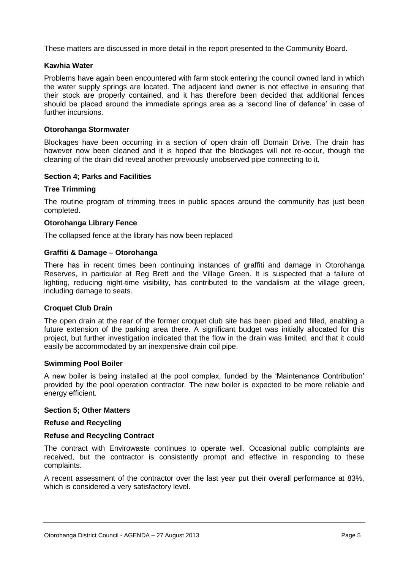These matters are discussed in more detail in the report presented to the Community Board.

# **Kawhia Water**

Problems have again been encountered with farm stock entering the council owned land in which the water supply springs are located. The adjacent land owner is not effective in ensuring that their stock are properly contained, and it has therefore been decided that additional fences should be placed around the immediate springs area as a 'second line of defence' in case of further incursions.

# **Otorohanga Stormwater**

Blockages have been occurring in a section of open drain off Domain Drive. The drain has however now been cleaned and it is hoped that the blockages will not re-occur, though the cleaning of the drain did reveal another previously unobserved pipe connecting to it.

# **Section 4; Parks and Facilities**

# **Tree Trimming**

The routine program of trimming trees in public spaces around the community has just been completed.

# **Otorohanga Library Fence**

The collapsed fence at the library has now been replaced

#### **Graffiti & Damage – Otorohanga**

There has in recent times been continuing instances of graffiti and damage in Otorohanga Reserves, in particular at Reg Brett and the Village Green. It is suspected that a failure of lighting, reducing night-time visibility, has contributed to the vandalism at the village green, including damage to seats.

#### **Croquet Club Drain**

The open drain at the rear of the former croquet club site has been piped and filled, enabling a future extension of the parking area there. A significant budget was initially allocated for this project, but further investigation indicated that the flow in the drain was limited, and that it could easily be accommodated by an inexpensive drain coil pipe.

#### **Swimming Pool Boiler**

A new boiler is being installed at the pool complex, funded by the 'Maintenance Contribution' provided by the pool operation contractor. The new boiler is expected to be more reliable and energy efficient.

#### **Section 5; Other Matters**

#### **Refuse and Recycling**

#### **Refuse and Recycling Contract**

The contract with Envirowaste continues to operate well. Occasional public complaints are received, but the contractor is consistently prompt and effective in responding to these complaints.

A recent assessment of the contractor over the last year put their overall performance at 83%, which is considered a very satisfactory level.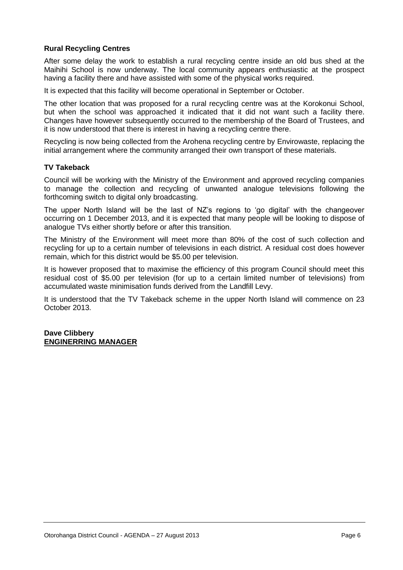# **Rural Recycling Centres**

After some delay the work to establish a rural recycling centre inside an old bus shed at the Maihihi School is now underway. The local community appears enthusiastic at the prospect having a facility there and have assisted with some of the physical works required.

It is expected that this facility will become operational in September or October.

The other location that was proposed for a rural recycling centre was at the Korokonui School, but when the school was approached it indicated that it did not want such a facility there. Changes have however subsequently occurred to the membership of the Board of Trustees, and it is now understood that there is interest in having a recycling centre there.

Recycling is now being collected from the Arohena recycling centre by Envirowaste, replacing the initial arrangement where the community arranged their own transport of these materials.

# **TV Takeback**

Council will be working with the Ministry of the Environment and approved recycling companies to manage the collection and recycling of unwanted analogue televisions following the forthcoming switch to digital only broadcasting.

The upper North Island will be the last of NZ's regions to 'go digital' with the changeover occurring on 1 December 2013, and it is expected that many people will be looking to dispose of analogue TVs either shortly before or after this transition.

The Ministry of the Environment will meet more than 80% of the cost of such collection and recycling for up to a certain number of televisions in each district. A residual cost does however remain, which for this district would be \$5.00 per television.

It is however proposed that to maximise the efficiency of this program Council should meet this residual cost of \$5.00 per television (for up to a certain limited number of televisions) from accumulated waste minimisation funds derived from the Landfill Levy.

It is understood that the TV Takeback scheme in the upper North Island will commence on 23 October 2013.

**Dave Clibbery ENGINERRING MANAGER**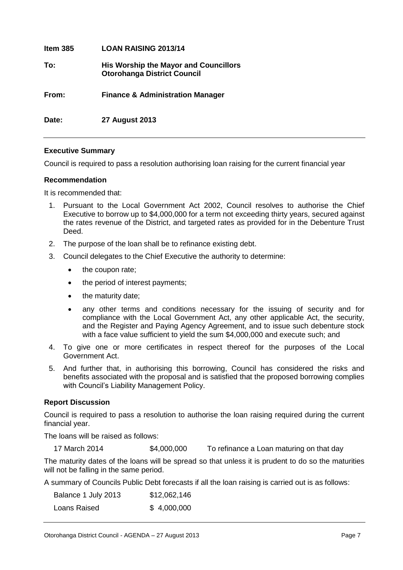| Item 385 | <b>LOAN RAISING 2013/14</b>                                                        |
|----------|------------------------------------------------------------------------------------|
| To:      | <b>His Worship the Mayor and Councillors</b><br><b>Otorohanga District Council</b> |
| From:    | <b>Finance &amp; Administration Manager</b>                                        |
| Date:    | <b>27 August 2013</b>                                                              |

# **Executive Summary**

Council is required to pass a resolution authorising loan raising for the current financial year

# **Recommendation**

It is recommended that:

- 1. Pursuant to the Local Government Act 2002, Council resolves to authorise the Chief Executive to borrow up to \$4,000,000 for a term not exceeding thirty years, secured against the rates revenue of the District, and targeted rates as provided for in the Debenture Trust Deed.
- 2. The purpose of the loan shall be to refinance existing debt.
- 3. Council delegates to the Chief Executive the authority to determine:
	- the coupon rate;
	- the period of interest payments;
	- the maturity date;
	- any other terms and conditions necessary for the issuing of security and for compliance with the Local Government Act, any other applicable Act, the security, and the Register and Paying Agency Agreement, and to issue such debenture stock with a face value sufficient to yield the sum \$4,000,000 and execute such; and
- 4. To give one or more certificates in respect thereof for the purposes of the Local Government Act.
- 5. And further that, in authorising this borrowing, Council has considered the risks and benefits associated with the proposal and is satisfied that the proposed borrowing complies with Council's Liability Management Policy.

# **Report Discussion**

Council is required to pass a resolution to authorise the loan raising required during the current financial year.

The loans will be raised as follows:

17 March 2014 \$4,000,000 To refinance a Loan maturing on that day

The maturity dates of the loans will be spread so that unless it is prudent to do so the maturities will not be falling in the same period.

A summary of Councils Public Debt forecasts if all the loan raising is carried out is as follows:

| Balance 1 July 2013 | \$12,062,146 |
|---------------------|--------------|
| Loans Raised        | \$4,000,000  |